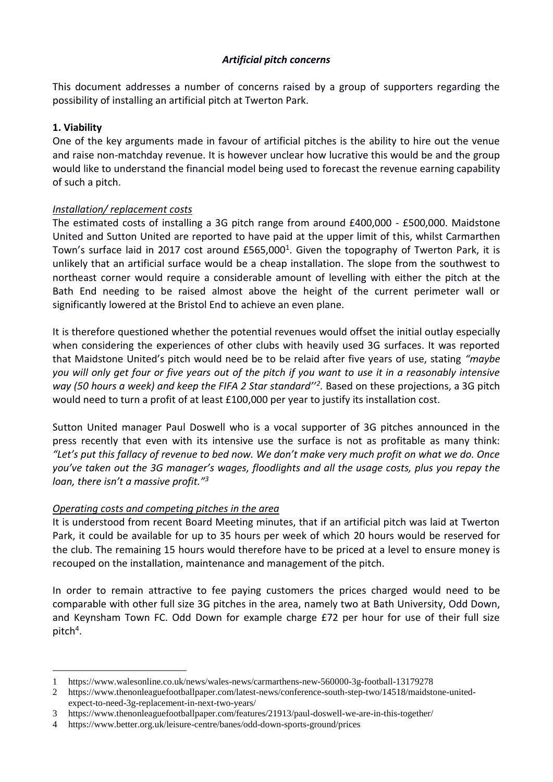## *Artificial pitch concerns*

This document addresses a number of concerns raised by a group of supporters regarding the possibility of installing an artificial pitch at Twerton Park.

## **1. Viability**

One of the key arguments made in favour of artificial pitches is the ability to hire out the venue and raise non-matchday revenue. It is however unclear how lucrative this would be and the group would like to understand the financial model being used to forecast the revenue earning capability of such a pitch.

# *Installation/ replacement costs*

The estimated costs of installing a 3G pitch range from around £400,000 - £500,000. Maidstone United and Sutton United are reported to have paid at the upper limit of this, whilst Carmarthen Town's surface laid in 2017 cost around £565,000<sup>1</sup>. Given the topography of Twerton Park, it is unlikely that an artificial surface would be a cheap installation. The slope from the southwest to northeast corner would require a considerable amount of levelling with either the pitch at the Bath End needing to be raised almost above the height of the current perimeter wall or significantly lowered at the Bristol End to achieve an even plane.

It is therefore questioned whether the potential revenues would offset the initial outlay especially when considering the experiences of other clubs with heavily used 3G surfaces. It was reported that Maidstone United's pitch would need be to be relaid after five years of use, stating *"maybe you will only get four or five years out of the pitch if you want to use it in a reasonably intensive way (50 hours a week) and keep the FIFA 2 Star standard''<sup>2</sup> .* Based on these projections, a 3G pitch would need to turn a profit of at least £100,000 per year to justify its installation cost.

Sutton United manager Paul Doswell who is a vocal supporter of 3G pitches announced in the press recently that even with its intensive use the surface is not as profitable as many think: *"Let's put this fallacy of revenue to bed now. We don't make very much profit on what we do. Once you've taken out the 3G manager's wages, floodlights and all the usage costs, plus you repay the loan, there isn't a massive profit."<sup>3</sup>*

## *Operating costs and competing pitches in the area*

It is understood from recent Board Meeting minutes, that if an artificial pitch was laid at Twerton Park, it could be available for up to 35 hours per week of which 20 hours would be reserved for the club. The remaining 15 hours would therefore have to be priced at a level to ensure money is recouped on the installation, maintenance and management of the pitch.

In order to remain attractive to fee paying customers the prices charged would need to be comparable with other full size 3G pitches in the area, namely two at Bath University, Odd Down, and Keynsham Town FC. Odd Down for example charge £72 per hour for use of their full size pitch<sup>4</sup>.

<sup>1</sup> 1 https://www.walesonline.co.uk/news/wales-news/carmarthens-new-560000-3g-football-13179278

<sup>2</sup> https://www.thenonleaguefootballpaper.com/latest-news/conference-south-step-two/14518/maidstone-unitedexpect-to-need-3g-replacement-in-next-two-years/

<sup>3</sup> https://www.thenonleaguefootballpaper.com/features/21913/paul-doswell-we-are-in-this-together/

<sup>4</sup> https://www.better.org.uk/leisure-centre/banes/odd-down-sports-ground/prices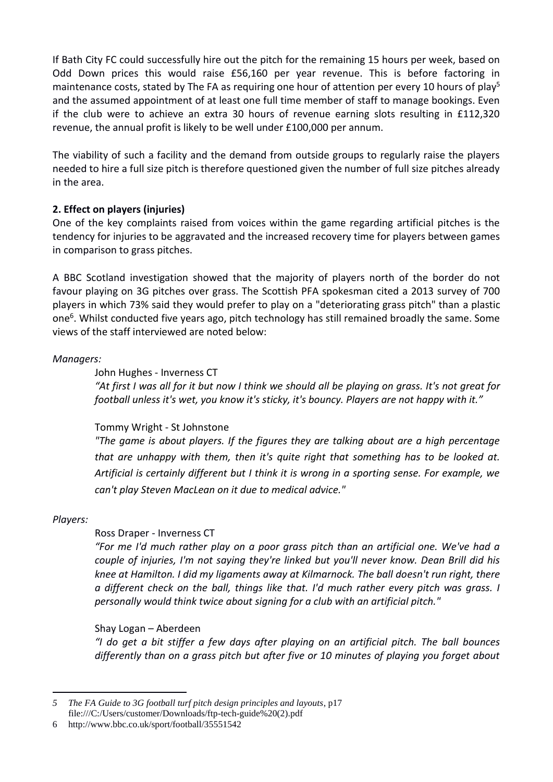If Bath City FC could successfully hire out the pitch for the remaining 15 hours per week, based on Odd Down prices this would raise £56,160 per year revenue. This is before factoring in maintenance costs, stated by The FA as requiring one hour of attention per every 10 hours of play<sup>5</sup> and the assumed appointment of at least one full time member of staff to manage bookings. Even if the club were to achieve an extra 30 hours of revenue earning slots resulting in £112,320 revenue, the annual profit is likely to be well under £100,000 per annum.

The viability of such a facility and the demand from outside groups to regularly raise the players needed to hire a full size pitch is therefore questioned given the number of full size pitches already in the area.

## **2. Effect on players (injuries)**

One of the key complaints raised from voices within the game regarding artificial pitches is the tendency for injuries to be aggravated and the increased recovery time for players between games in comparison to grass pitches.

A BBC Scotland investigation showed that the majority of players north of the border do not favour playing on 3G pitches over grass. The Scottish PFA spokesman cited a 2013 survey of 700 players in which 73% said they would prefer to play on a "deteriorating grass pitch" than a plastic one<sup>6</sup>. Whilst conducted five years ago, pitch technology has still remained broadly the same. Some views of the staff interviewed are noted below:

## *Managers:*

John Hughes - Inverness CT

*"At first I was all for it but now I think we should all be playing on grass. It's not great for football unless it's wet, you know it's sticky, it's bouncy. Players are not happy with it."*

## Tommy Wright - St Johnstone

*"The game is about players. If the figures they are talking about are a high percentage that are unhappy with them, then it's quite right that something has to be looked at. Artificial is certainly different but I think it is wrong in a sporting sense. For example, we can't play Steven MacLean on it due to medical advice."*

## *Players:*

<u>.</u>

## Ross Draper - Inverness CT

*"For me I'd much rather play on a poor grass pitch than an artificial one. We've had a couple of injuries, I'm not saying they're linked but you'll never know. Dean Brill did his knee at Hamilton. I did my ligaments away at Kilmarnock. The ball doesn't run right, there a different check on the ball, things like that. I'd much rather every pitch was grass. I personally would think twice about signing for a club with an artificial pitch."*

## Shay Logan – Aberdeen

*"I do get a bit stiffer a few days after playing on an artificial pitch. The ball bounces differently than on a grass pitch but after five or 10 minutes of playing you forget about* 

*5 The FA Guide to 3G football turf pitch design principles and layouts*, p17 file:///C:/Users/customer/Downloads/ftp-tech-guide%20(2).pdf

<sup>6</sup> http://www.bbc.co.uk/sport/football/35551542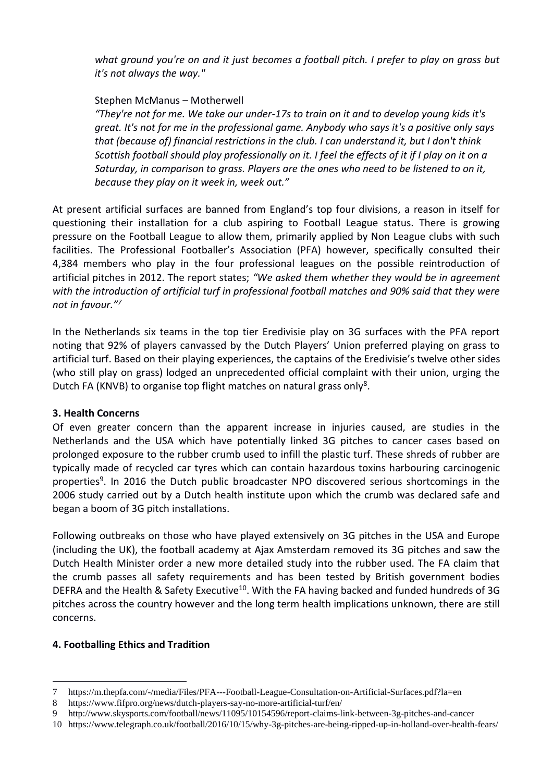*what ground you're on and it just becomes a football pitch. I prefer to play on grass but it's not always the way."*

#### Stephen McManus – Motherwell

*"They're not for me. We take our under-17s to train on it and to develop young kids it's great. It's not for me in the professional game. Anybody who says it's a positive only says that (because of) financial restrictions in the club. I can understand it, but I don't think Scottish football should play professionally on it. I feel the effects of it if I play on it on a Saturday, in comparison to grass. Players are the ones who need to be listened to on it, because they play on it week in, week out."*

At present artificial surfaces are banned from England's top four divisions, a reason in itself for questioning their installation for a club aspiring to Football League status. There is growing pressure on the Football League to allow them, primarily applied by Non League clubs with such facilities. The Professional Footballer's Association (PFA) however, specifically consulted their 4,384 members who play in the four professional leagues on the possible reintroduction of artificial pitches in 2012. The report states; *"We asked them whether they would be in agreement with the introduction of artificial turf in professional football matches and 90% said that they were not in favour."<sup>7</sup>*

In the Netherlands six teams in the top tier Eredivisie play on 3G surfaces with the PFA report noting that 92% of players canvassed by the Dutch Players' Union preferred playing on grass to artificial turf. Based on their playing experiences, the captains of the Eredivisie's twelve other sides (who still play on grass) lodged an unprecedented official complaint with their union, urging the Dutch FA (KNVB) to organise top flight matches on natural grass only<sup>8</sup>.

#### **3. Health Concerns**

Of even greater concern than the apparent increase in injuries caused, are studies in the Netherlands and the USA which have potentially linked 3G pitches to cancer cases based on prolonged exposure to the rubber crumb used to infill the plastic turf. These shreds of rubber are typically made of recycled car tyres which can contain hazardous toxins harbouring carcinogenic properties<sup>9</sup>. In 2016 the Dutch public broadcaster NPO discovered serious shortcomings in the 2006 study carried out by a Dutch health institute upon which the crumb was declared safe and began a boom of 3G pitch installations.

Following outbreaks on those who have played extensively on 3G pitches in the USA and Europe (including the UK), the football academy at Ajax Amsterdam removed its 3G pitches and saw the Dutch Health Minister order a new more detailed study into the rubber used. The FA claim that the crumb passes all safety requirements and has been tested by British government bodies DEFRA and the Health & Safety Executive<sup>10</sup>. With the FA having backed and funded hundreds of 3G pitches across the country however and the long term health implications unknown, there are still concerns.

## **4. Footballing Ethics and Tradition**

1

<sup>7</sup> https://m.thepfa.com/-/media/Files/PFA---Football-League-Consultation-on-Artificial-Surfaces.pdf?la=en

<sup>8</sup> https://www.fifpro.org/news/dutch-players-say-no-more-artificial-turf/en/

<sup>9</sup> http://www.skysports.com/football/news/11095/10154596/report-claims-link-between-3g-pitches-and-cancer

<sup>10</sup> https://www.telegraph.co.uk/football/2016/10/15/why-3g-pitches-are-being-ripped-up-in-holland-over-health-fears/